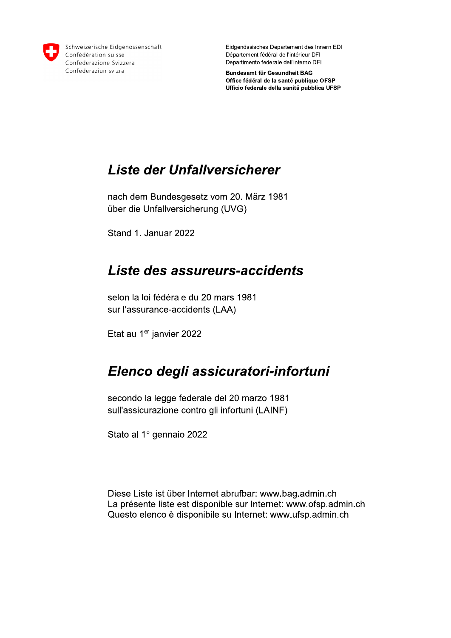

Schweizerische Eidgenossenschaft Confédération suisse Confederazione Svizzera Confederaziun svizra

Eidgenössisches Departement des Innern EDI Département fédéral de l'intérieur DFI Departimento federale dell'interno DFI

Bundesamt für Gesundheit BAG Office fédéral de la santé publique OFSP Ufficio federale della sanitä pubblica UFSP

#### Liste der Unfallversicherer

nach dem Bundesgesetz vom 20. März 1981 über die Unfallversicherung (UVG)

Stand 1. Januar 2022

#### Liste des assureurs-accidents

selon la loi fédérale du 20 mars 1981 sur l'assurance-accidents (LAA)

Etat au 1er janvier 2022

#### Elenco degli assicuratori-infortuni

secondo la legge federale del 20 marzo 1981 sull'assicurazione contro gli infortuni (LAINF)

Stato al 1º gennaio 2022

Diese Liste ist über Internet abrufbar: www.bag.admin.ch La présente liste est disponible sur Internet: www.ofsp.admin.ch Questo elenco è disponibile su Internet: www.ufsp.admin.ch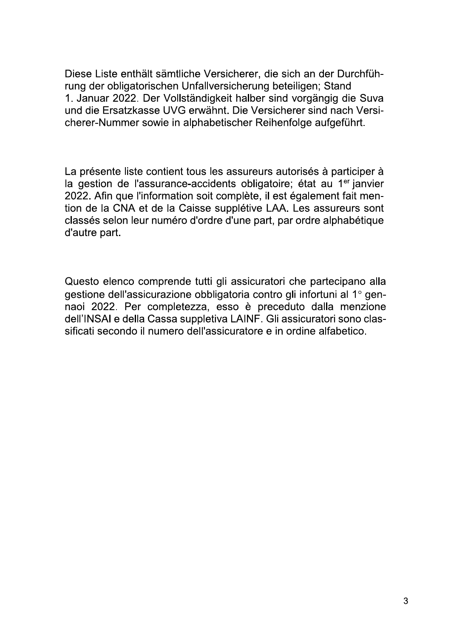Diese Liste enthält sämtliche Versicherer, die sich an der Durchführung der obligatorischen Unfallversicherung beteiligen; Stand 1. Januar 2022. Der Vollständigkeit halber sind vorgängig die Suva und die Ersatzkasse UVG erwähnt. Die Versicherer sind nach Versicherer-Nummer sowie in alphabetischer Reihenfolge aufgeführt.

La présente liste contient tous les assureurs autorisés à participer à la gestion de l'assurance-accidents obligatoire; état au 1<sup>er</sup> janvier 2022. Afin que l'information soit complète, il est également fait mention de la CNA et de la Caisse supplétive LAA. Les assureurs sont classés selon leur numéro d'ordre d'une part, par ordre alphabétique d'autre part.

Questo elenco comprende tutti gli assicuratori che partecipano alla gestione dell'assicurazione obbligatoria contro gli infortuni al 1º gennaoi 2022. Per completezza, esso è preceduto dalla menzione dell'INSAI e della Cassa suppletiva LAINF. Gli assicuratori sono classificati secondo il numero dell'assicuratore e in ordine alfabetico.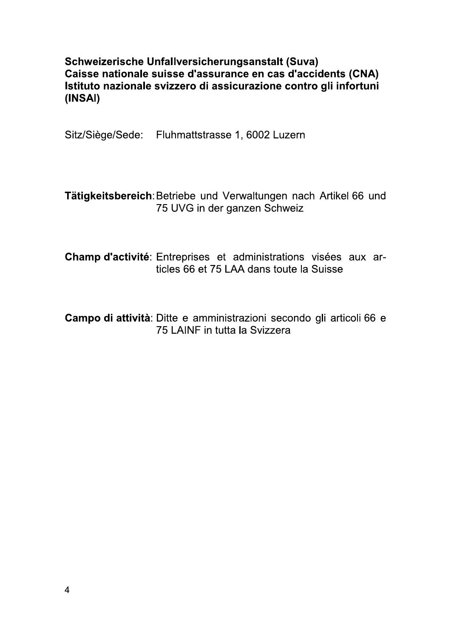Schweizerische Unfallversicherungsanstalt (Suva) Caisse nationale suisse d'assurance en cas d'accidents (CNA) Istituto nazionale svizzero di assicurazione contro gli infortuni (INSAI)

Sitz/Siège/Sede: Fluhmattstrasse 1, 6002 Luzern

Tätigkeitsbereich: Betriebe und Verwaltungen nach Artikel 66 und 75 UVG in der ganzen Schweiz

Champ d'activité: Entreprises et administrations visées aux articles 66 et 75 LAA dans toute la Suisse

Campo di attività: Ditte e amministrazioni secondo gli articoli 66 e 75 LAINF in tutta la Svizzera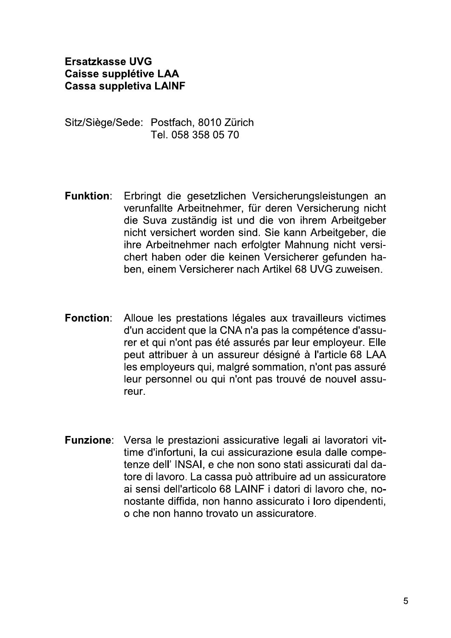**Ersatzkasse UVG Caisse supplétive LAA Cassa suppletiva LAINF** 

Sitz/Siège/Sede: Postfach, 8010 Zürich Tel. 058 358 05 70

- **Funktion:** Erbringt die gesetzlichen Versicherungsleistungen an verunfallte Arbeitnehmer, für deren Versicherung nicht die Suva zuständig ist und die von ihrem Arbeitgeber nicht versichert worden sind. Sie kann Arbeitgeber, die ihre Arbeitnehmer nach erfolgter Mahnung nicht versichert haben oder die keinen Versicherer gefunden haben, einem Versicherer nach Artikel 68 UVG zuweisen.
- **Fonction:** Alloue les prestations légales aux travailleurs victimes d'un accident que la CNA n'a pas la compétence d'assurer et qui n'ont pas été assurés par leur employeur. Elle peut attribuer à un assureur désigné à l'article 68 LAA les employeurs qui, malgré sommation, n'ont pas assuré leur personnel ou qui n'ont pas trouvé de nouvel assureur.
- Funzione: Versa le prestazioni assicurative legali ai lavoratori vittime d'infortuni. la cui assicurazione esula dalle competenze dell' INSAI, e che non sono stati assicurati dal datore di lavoro. La cassa può attribuire ad un assicuratore ai sensi dell'articolo 68 LAINF i datori di lavoro che, nonostante diffida, non hanno assicurato i loro dipendenti. o che non hanno trovato un assicuratore.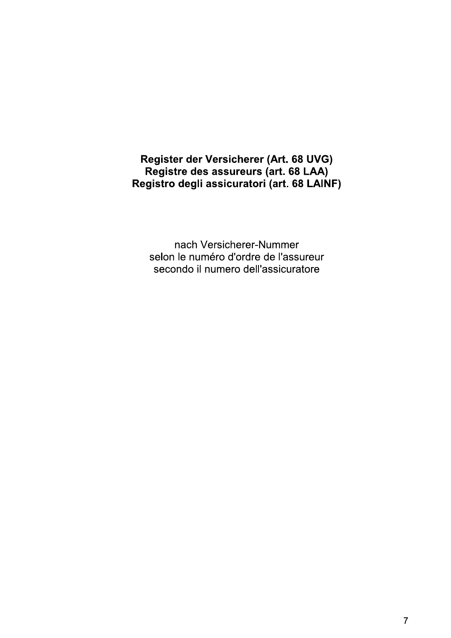Register der Versicherer (Art. 68 UVG) Registre des assureurs (art. 68 LAA) Registro degli assicuratori (art. 68 LAINF)

nach Versicherer-Nummer selon le numéro d'ordre de l'assureur secondo il numero dell'assicuratore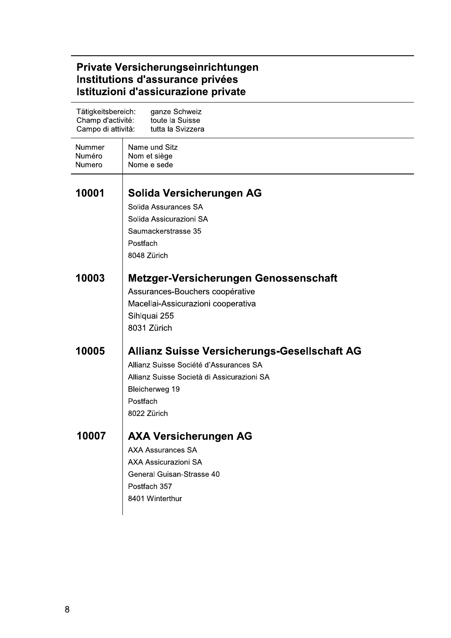| Tätigkeitsbereich:<br>Champ d'activité:<br>Campo di attività: | ganze Schweiz<br>toute la Suisse<br>tutta la Svizzera                                                                                                                                    |
|---------------------------------------------------------------|------------------------------------------------------------------------------------------------------------------------------------------------------------------------------------------|
| Nummer<br>Numéro<br>Numero                                    | Name und Sitz<br>Nom et siège<br>Nome e sede                                                                                                                                             |
| 10001                                                         | Solida Versicherungen AG<br>Solida Assurances SA<br>Solida Assicurazioni SA<br>Saumackerstrasse 35<br>Postfach<br>8048 Zürich                                                            |
| 10003                                                         | Metzger-Versicherungen Genossenschaft<br>Assurances-Bouchers coopérative<br>Macellai-Assicurazioni cooperativa<br>Sihlquai 255<br>8031 Zürich                                            |
| 10005                                                         | <b>Allianz Suisse Versicherungs-Gesellschaft AG</b><br>Allianz Suisse Société d'Assurances SA<br>Allianz Suisse Società di Assicurazioni SA<br>Bleicherweg 19<br>Postfach<br>8022 Zürich |
| 10007                                                         | <b>AXA Versicherungen AG</b><br><b>AXA Assurances SA</b><br><b>AXA Assicurazioni SA</b><br>General Guisan-Strasse 40<br>Postfach 357<br>8401 Winterthur                                  |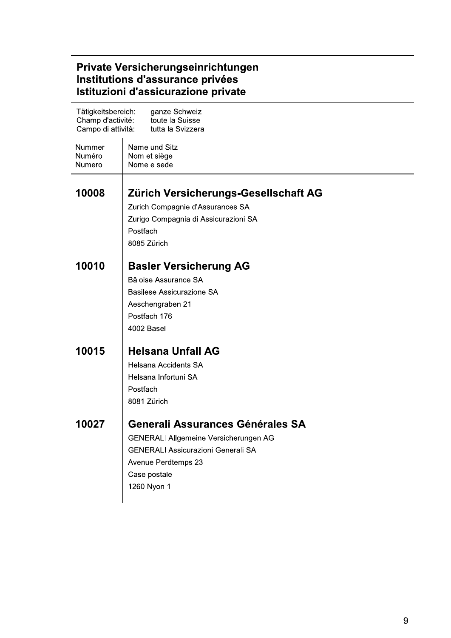| Tätigkeitsbereich:<br>ganze Schweiz<br>Champ d'activité:<br>toute la Suisse<br>Campo di attività:<br>tutta la Svizzera |                                                                                                                                                                              |  |
|------------------------------------------------------------------------------------------------------------------------|------------------------------------------------------------------------------------------------------------------------------------------------------------------------------|--|
| Nummer<br>Numéro<br>Numero                                                                                             | Name und Sitz<br>Nom et siège<br>Nome e sede                                                                                                                                 |  |
| 10008                                                                                                                  | Zürich Versicherungs-Gesellschaft AG<br>Zurich Compagnie d'Assurances SA<br>Zurigo Compagnia di Assicurazioni SA<br>Postfach<br>8085 Zürich                                  |  |
| 10010                                                                                                                  | <b>Basler Versicherung AG</b><br>Bâloise Assurance SA<br><b>Basilese Assicurazione SA</b><br>Aeschengraben 21<br>Postfach 176<br>4002 Basel                                  |  |
| 10015                                                                                                                  | <b>Helsana Unfall AG</b><br><b>Helsana Accidents SA</b><br>Helsana Infortuni SA<br>Postfach<br>8081 Zürich                                                                   |  |
| 10027                                                                                                                  | Generali Assurances Générales SA<br>GENERALI Allgemeine Versicherungen AG<br><b>GENERALI Assicurazioni Generali SA</b><br>Avenue Perdtemps 23<br>Case postale<br>1260 Nyon 1 |  |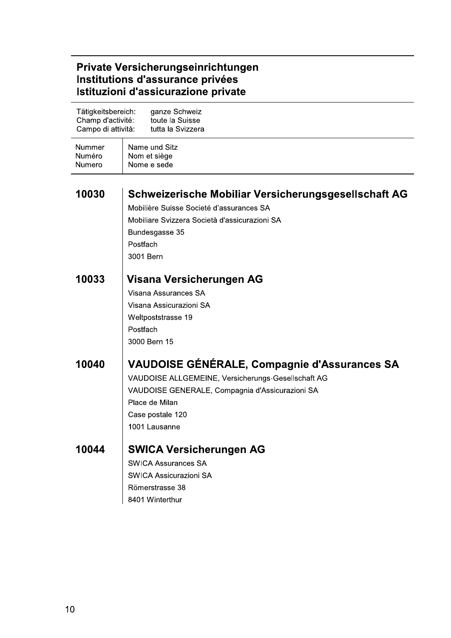| Tätigkeitsbereich:<br>Champ d'activité:<br>Campo di attività: | ganze Schweiz<br>toute la Suisse<br>tutta la Svizzera                                                                                                                                                               |
|---------------------------------------------------------------|---------------------------------------------------------------------------------------------------------------------------------------------------------------------------------------------------------------------|
| Nummer<br>Numéro<br>Numero                                    | Name und Sitz<br>Nom et siège<br>Nome e sede                                                                                                                                                                        |
| 10030                                                         | Schweizerische Mobiliar Versicherungsgesellschaft AG<br>Mobilière Suisse Societé d'assurances SA<br>Mobiliare Svizzera Società d'assicurazioni SA<br>Bundesgasse 35<br>Postfach<br>3001 Bern                        |
| 10033                                                         | Visana Versicherungen AG<br>Visana Assurances SA<br>Visana Assicurazioni SA<br>Weltpoststrasse 19<br>Postfach<br>3000 Bern 15                                                                                       |
| 10040                                                         | <b>VAUDOISE GÉNÉRALE, Compagnie d'Assurances SA</b><br>VAUDOISE ALLGEMEINE, Versicherungs-Gesellschaft AG<br>VAUDOISE GENERALE, Compagnia d'Assicurazioni SA<br>Place de Milan<br>Case postale 120<br>1001 Lausanne |
| 10044                                                         | <b>SWICA Versicherungen AG</b><br><b>SWICA Assurances SA</b><br><b>SWICA Assicurazioni SA</b><br>Römerstrasse 38<br>8401 Winterthur                                                                                 |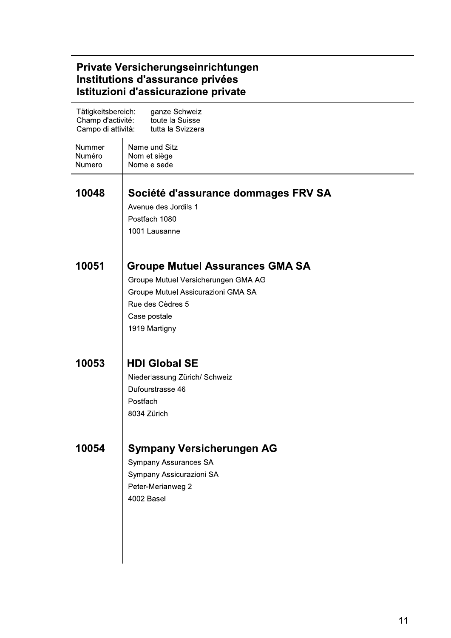| Tätigkeitsbereich:<br>Champ d'activité:<br>Campo di attività: | ganze Schweiz<br>toute la Suisse<br>tutta la Svizzera                                                                                                                    |
|---------------------------------------------------------------|--------------------------------------------------------------------------------------------------------------------------------------------------------------------------|
| Nummer<br>Numéro<br>Numero                                    | Name und Sitz<br>Nom et siège<br>Nome e sede                                                                                                                             |
| 10048                                                         | Société d'assurance dommages FRV SA<br>Avenue des Jordils 1<br>Postfach 1080<br>1001 Lausanne                                                                            |
| 10051                                                         | <b>Groupe Mutuel Assurances GMA SA</b><br>Groupe Mutuel Versicherungen GMA AG<br>Groupe Mutuel Assicurazioni GMA SA<br>Rue des Cèdres 5<br>Case postale<br>1919 Martigny |
| 10053                                                         | <b>HDI Global SE</b><br>Niederlassung Zürich/ Schweiz<br>Dufourstrasse 46<br>Postfach<br>8034 Zürich                                                                     |
| 10054                                                         | <b>Sympany Versicherungen AG</b><br><b>Sympany Assurances SA</b><br>Sympany Assicurazioni SA<br>Peter-Merianweg 2<br>4002 Basel                                          |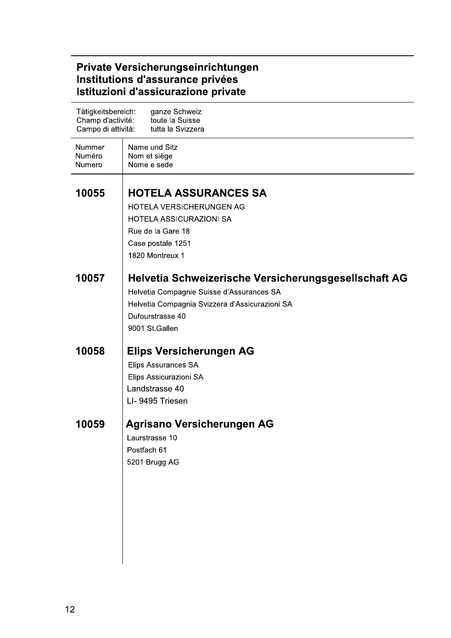| Tätigkeitsbereich:<br>Champ d'activité:<br>Campo di attività: | ganze Schweiz<br>toute la Suisse<br>tutta la Svizzera                                                                                                                                     |
|---------------------------------------------------------------|-------------------------------------------------------------------------------------------------------------------------------------------------------------------------------------------|
| Nummer<br>Numéro<br>Numero                                    | Name und Sitz<br>Nom et siège<br>Nome e sede                                                                                                                                              |
| 10055                                                         | <b>HOTELA ASSURANCES SA</b><br>HOTELA VERSICHERUNGEN AG<br><b>HOTELA ASSICURAZIONI SA</b><br>Rue de la Gare 18<br>Case postale 1251<br>1820 Montreux 1                                    |
| 10057                                                         | Helvetia Schweizerische Versicherungsgesellschaft AG<br>Helvetia Compagnie Suisse d'Assurances SA<br>Helvetia Compagnia Svizzera d'Assicurazioni SA<br>Dufourstrasse 40<br>9001 St.Gallen |
| 10058                                                         | <b>Elips Versicherungen AG</b><br>Elips Assurances SA<br>Elips Assicurazioni SA<br>Landstrasse 40<br>LI-9495 Triesen                                                                      |
| 10059                                                         | Agrisano Versicherungen AG<br>Laurstrasse 10<br>Postfach 61<br>5201 Brugg AG                                                                                                              |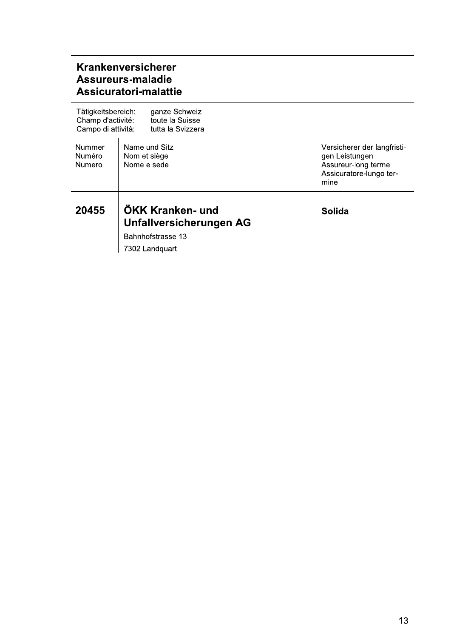#### Krankenversicherer Assureurs-maladie Assicuratori-malattie

| Tätigkeitsbereich:<br>Champ d'activité:<br>Campo di attività: | ganze Schweiz<br>toute la Suisse<br>tutta la Svizzera                              |                                                                                                         |
|---------------------------------------------------------------|------------------------------------------------------------------------------------|---------------------------------------------------------------------------------------------------------|
| Nummer<br><b>Numéro</b><br><b>Numero</b>                      | Name und Sitz<br>Nom et siège<br>Nome e sede                                       | Versicherer der langfristi-<br>gen Leistungen<br>Assureur-long terme<br>Assicuratore-lungo ter-<br>mine |
| 20455                                                         | ÖKK Kranken- und<br>Unfallversicherungen AG<br>Bahnhofstrasse 13<br>7302 Landquart | Solida                                                                                                  |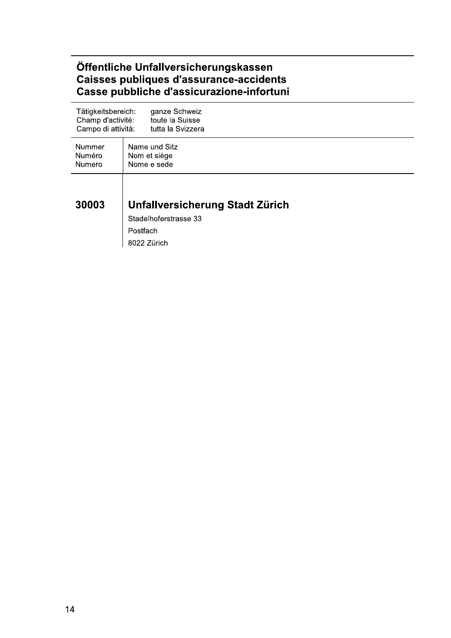#### Öffentliche Unfallversicherungskassen<br>Caisses publiques d'assurance-accidents<br>Casse pubbliche d'assicurazione-infortuni

| Tätigkeitsbereich: | ganze Schweiz                                                                       |
|--------------------|-------------------------------------------------------------------------------------|
| Champ d'activité:  | toute la Suisse                                                                     |
| Campo di attività: | tutta la Svizzera                                                                   |
| Nummer             | Name und Sitz                                                                       |
| Numéro             | Nom et siège                                                                        |
| Numero             | Nome e sede                                                                         |
| 30003              | Unfallversicherung Stadt Zürich<br>Stadelhoferstrasse 33<br>Postfach<br>8022 Zürich |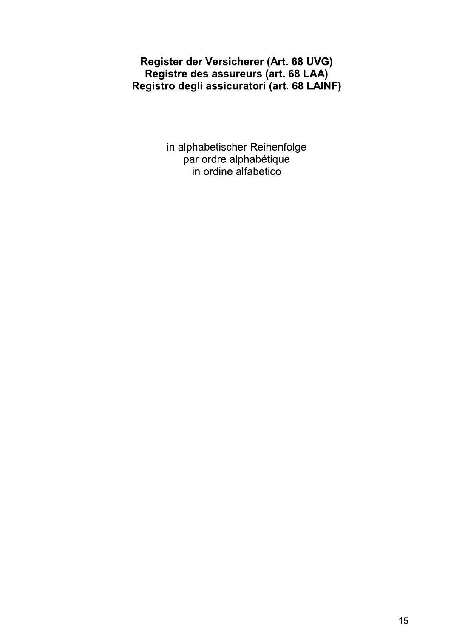#### Register der Versicherer (Art. 68 UVG) Registre des assureurs (art. 68 LAA) Registro degli assicuratori (art. 68 LAINF)

in alphabetischer Reihenfolge<br>par ordre alphabétique in ordine alfabetico